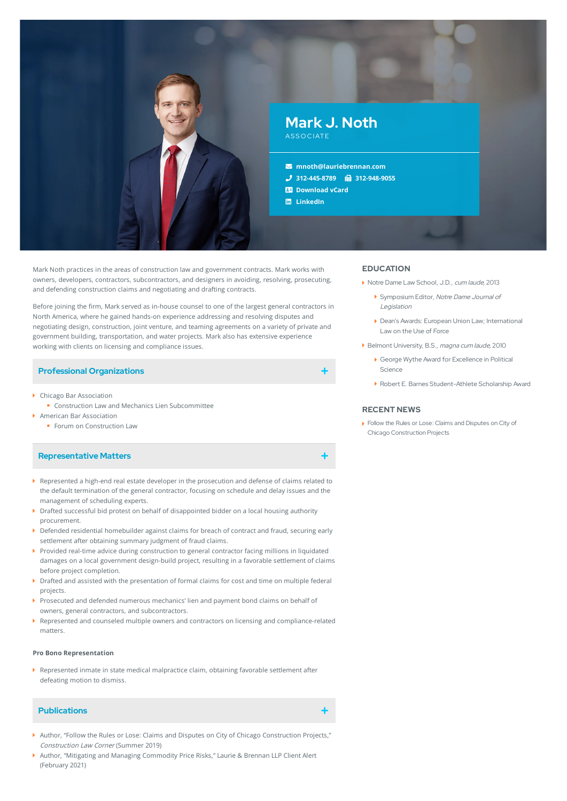

Mark Noth practices in the areas of construction law and government contracts. Mark works with owners, developers, contractors, subcontractors, and designers in avoiding, resolving, prosecuting, and defending construction claims and negotiating and drafting contracts.

Before joining the firm, Mark served as in-house counsel to one of the largest general contractors in North America, where he gained hands-on experience addressing and resolving disputes and negotiating design, construction, joint venture, and teaming agreements on a variety of private and government building, transportation, and water projects. Mark also has extensive experience working with clients on licensing and compliance issues.

### **Professional Organizations**

- ▶ Chicago Bar Association
- Construction Law and Mechanics Lien Subcommittee
- American Bar Association
- **•** Forum on Construction Law

## **Representative Matters**

- Represented a high-end real estate developer in the prosecution and defense of claims related to the default termination of the general contractor, focusing on schedule and delay issues and the management of scheduling experts.
- **Drafted successful bid protest on behalf of disappointed bidder on a local housing authority** procurement.
- Defended residential homebuilder against claims for breach of contract and fraud, securing early settlement after obtaining summary judgment of fraud claims.
- **Provided real-time advice during construction to general contractor facing millions in liquidated** damages on a local government design-build project, resulting in a favorable settlement of claims before project completion.
- **Drafted and assisted with the presentation of formal claims for cost and time on multiple federal** projects.
- Prosecuted and defended numerous mechanics' lien and payment bond claims on behalf of owners, general contractors, and subcontractors.
- Represented and counseled multiple owners and contractors on licensing and compliance-related matters.

#### **Pro Bono Representation**

Represented inmate in state medical malpractice claim, obtaining favorable settlement after defeating motion to dismiss.

# **Publications**

- Author, "Follow the Rules or Lose: Claims and Disputes on City of Chicago Construction Projects," Construction Law Corner (Summer 2019)
- Author, "Mitigating and Managing Commodity Price Risks," Laurie & Brennan LLP Client Alert (February 2021)

#### **EDUCATION**

- ▶ Notre Dame Law School, J.D., cum laude, 2013
	- Symposium Editor, Notre Dame Journal of Legislation
	- Dean's Awards: European Union Law; International Law on the Use of Force
- Belmont University, B.S., magna cum laude, 2010
	- George Wythe Award for Excellence in Political Science
	- Robert E. Barnes Student-Athlete Scholarship Award

### **RECENT NEWS**

Follow the Rules or Lose: Claims and Disputes on City of Chicago [Construction](https://www.lauriebrennan.com/blog/follow-the-rules-or-lose-claims-and-disputes-on-city-of-chicago-construction-projects/) Projects